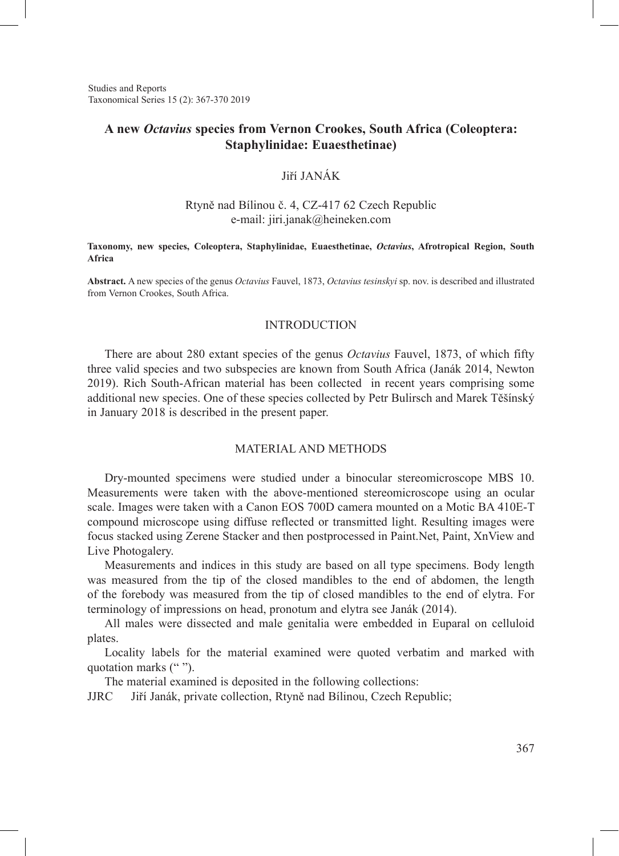Studies and Reports Taxonomical Series 15 (2): 367-370 2019

## **A new** *Octavius* **species from Vernon Crookes, South Africa (Coleoptera: Staphylinidae: Euaesthetinae)**

## Jiří JANÁK

### Rtyně nad Bílinou č. 4, CZ-417 62 Czech Republic e-mail: jiri.janak@heineken.com

#### **Taxonomy, new species, Coleoptera, Staphylinidae, Euaesthetinae,** *Octavius***, Afrotropical Region, South Africa**

**Abstract.** A new species of the genus *Octavius* Fauvel, 1873, *Octavius tesinskyi* sp. nov. is described and illustrated from Vernon Crookes, South Africa.

#### INTRODUCTION

There are about 280 extant species of the genus *Octavius* Fauvel, 1873, of which fifty three valid species and two subspecies are known from South Africa (Janák 2014, Newton 2019). Rich South-African material has been collected in recent years comprising some additional new species. One of these species collected by Petr Bulirsch and Marek Těšínský in January 2018 is described in the present paper.

## MATERIAL AND METHODS

Dry-mounted specimens were studied under a binocular stereomicroscope MBS 10. Measurements were taken with the above-mentioned stereomicroscope using an ocular scale. Images were taken with a Canon EOS 700D camera mounted on a Motic BA 410E-T compound microscope using diffuse reflected or transmitted light. Resulting images were focus stacked using Zerene Stacker and then postprocessed in Paint.Net, Paint, XnView and Live Photogalery.

Measurements and indices in this study are based on all type specimens. Body length was measured from the tip of the closed mandibles to the end of abdomen, the length of the forebody was measured from the tip of closed mandibles to the end of elytra. For terminology of impressions on head, pronotum and elytra see Janák (2014).

All males were dissected and male genitalia were embedded in Euparal on celluloid plates.

Locality labels for the material examined were quoted verbatim and marked with quotation marks ("").

The material examined is deposited in the following collections:

JJRC Jiří Janák, private collection, Rtyně nad Bílinou, Czech Republic;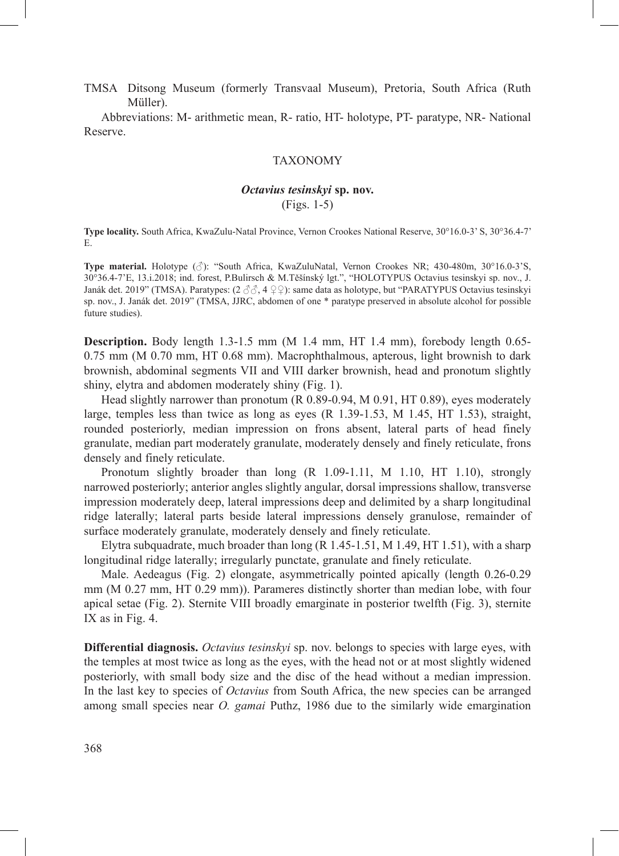TMSA Ditsong Museum (formerly Transvaal Museum), Pretoria, South Africa (Ruth Müller).

Abbreviations: M- arithmetic mean, R- ratio, HT- holotype, PT- paratype, NR- National Reserve.

## TAXONOMY

# *Octavius tesinskyi* **sp. nov.**

(Figs. 1-5)

**Type locality.** South Africa, KwaZulu-Natal Province, Vernon Crookes National Reserve, 30°16.0-3' S, 30°36.4-7' E.

**Type material.** Holotype (♂): "South Africa, KwaZuluNatal, Vernon Crookes NR; 430-480m, 30°16.0-3'S, 30°36.4-7'E, 13.i.2018; ind. forest, P.Bulirsch & M.Těšínský lgt.", "HOLOTYPUS Octavius tesinskyi sp. nov., J. Janák det. 2019" (TMSA). Paratypes: (2 ♂♂, 4 ♀♀): same data as holotype, but "PARATYPUS Octavius tesinskyi sp. nov., J. Janák det. 2019" (TMSA, JJRC, abdomen of one \* paratype preserved in absolute alcohol for possible future studies).

**Description.** Body length 1.3-1.5 mm (M 1.4 mm, HT 1.4 mm), forebody length 0.65- 0.75 mm (M 0.70 mm, HT 0.68 mm). Macrophthalmous, apterous, light brownish to dark brownish, abdominal segments VII and VIII darker brownish, head and pronotum slightly shiny, elytra and abdomen moderately shiny (Fig. 1).

Head slightly narrower than pronotum (R 0.89-0.94, M 0.91, HT 0.89), eyes moderately large, temples less than twice as long as eyes (R 1.39-1.53, M 1.45, HT 1.53), straight, rounded posteriorly, median impression on frons absent, lateral parts of head finely granulate, median part moderately granulate, moderately densely and finely reticulate, frons densely and finely reticulate.

Pronotum slightly broader than long (R 1.09-1.11, M 1.10, HT 1.10), strongly narrowed posteriorly; anterior angles slightly angular, dorsal impressions shallow, transverse impression moderately deep, lateral impressions deep and delimited by a sharp longitudinal ridge laterally; lateral parts beside lateral impressions densely granulose, remainder of surface moderately granulate, moderately densely and finely reticulate.

Elytra subquadrate, much broader than long  $(R\ 1.45-1.51, M\ 1.49, HT\ 1.51)$ , with a sharp longitudinal ridge laterally; irregularly punctate, granulate and finely reticulate.

Male. Aedeagus (Fig. 2) elongate, asymmetrically pointed apically (length 0.26-0.29 mm (M 0.27 mm, HT 0.29 mm)). Parameres distinctly shorter than median lobe, with four apical setae (Fig. 2). Sternite VIII broadly emarginate in posterior twelfth (Fig. 3), sternite IX as in Fig. 4.

**Differential diagnosis.** *Octavius tesinskyi* sp. nov. belongs to species with large eyes, with the temples at most twice as long as the eyes, with the head not or at most slightly widened posteriorly, with small body size and the disc of the head without a median impression. In the last key to species of *Octavius* from South Africa, the new species can be arranged among small species near *O. gamai* Puthz, 1986 due to the similarly wide emargination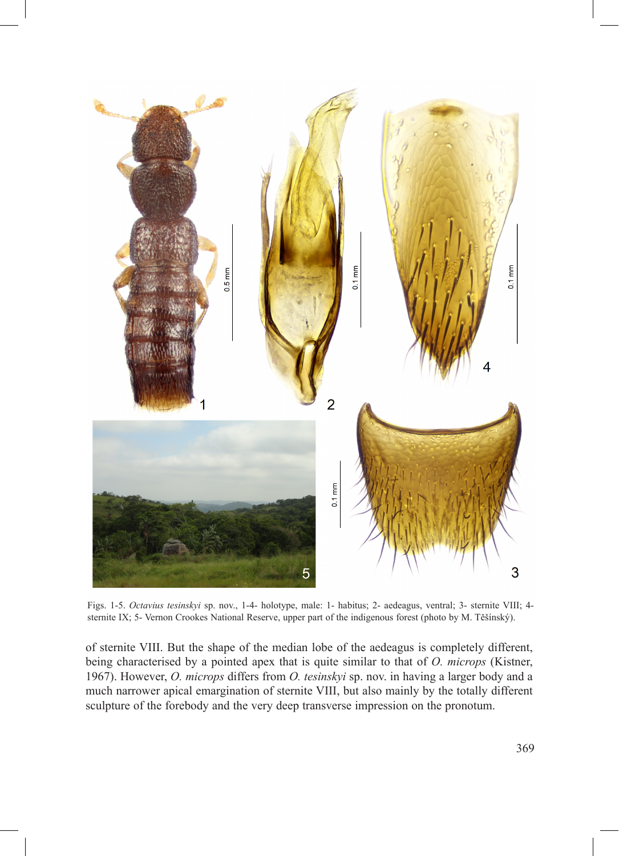

Figs. 1-5. *Octavius tesinskyi* sp. nov., 1-4- holotype, male: 1- habitus; 2- aedeagus, ventral; 3- sternite VIII; 4 sternite IX; 5- Vernon Crookes National Reserve, upper part of the indigenous forest (photo by M. Těšínský).

of sternite VIII. But the shape of the median lobe of the aedeagus is completely different, being characterised by a pointed apex that is quite similar to that of *O. microps* (Kistner, 1967). However, *O. microps* differs from *O. tesinskyi* sp. nov. in having a larger body and a much narrower apical emargination of sternite VIII, but also mainly by the totally different sculpture of the forebody and the very deep transverse impression on the pronotum.